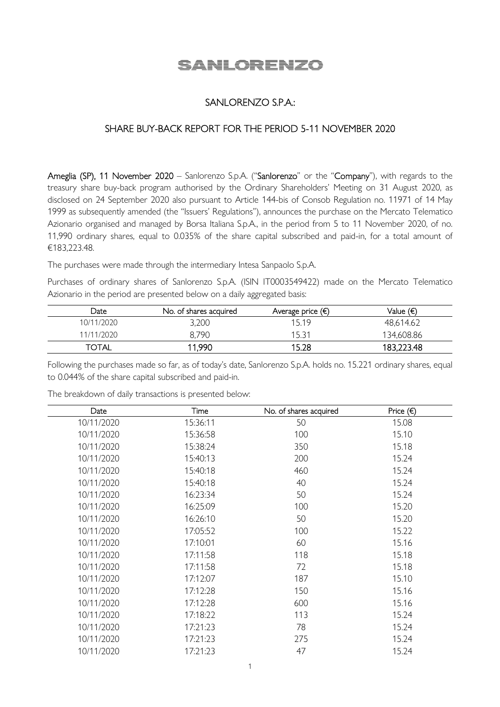# SANLORENZO

## SANLORENZO S.P.A.:

## SHARE BUY-BACK REPORT FOR THE PERIOD 5-11 NOVEMBER 2020

Ameglia (SP), 11 November 2020 – Sanlorenzo S.p.A. ("Sanlorenzo" or the "Company"), with regards to the treasury share buy-back program authorised by the Ordinary Shareholders' Meeting on 31 August 2020, as disclosed on 24 September 2020 also pursuant to Article 144-bis of Consob Regulation no. 11971 of 14 May 1999 as subsequently amended (the "Issuers' Regulations"), announces the purchase on the Mercato Telematico Azionario organised and managed by Borsa Italiana S.p.A., in the period from 5 to 11 November 2020, of no. 11,990 ordinary shares, equal to 0.035% of the share capital subscribed and paid-in, for a total amount of €183,223.48.

The purchases were made through the intermediary Intesa Sanpaolo S.p.A.

Purchases of ordinary shares of Sanlorenzo S.p.A. (ISIN IT0003549422) made on the Mercato Telematico Azionario in the period are presented below on a daily aggregated basis:

| Date         | No. of shares acquired | Average price $(\epsilon)$ | Value (€)  |
|--------------|------------------------|----------------------------|------------|
| 10/11/2020   | 3,200                  | 15.19                      | 48,614.62  |
| 11/11/2020   | 8,790                  | 15.31                      | 134,608.86 |
| <b>TOTAL</b> | 11,990                 | 15.28                      | 183,223.48 |

Following the purchases made so far, as of today's date, Sanlorenzo S.p.A. holds no. 15.221 ordinary shares, equal to 0.044% of the share capital subscribed and paid-in.

The breakdown of daily transactions is presented below:

| Date       | Time     | No. of shares acquired | Price $(\epsilon)$ |
|------------|----------|------------------------|--------------------|
| 10/11/2020 | 15:36:11 | 50                     | 15.08              |
| 10/11/2020 | 15:36:58 | 100                    | 15.10              |
| 10/11/2020 | 15:38:24 | 350                    | 15.18              |
| 10/11/2020 | 15:40:13 | 200                    | 15.24              |
| 10/11/2020 | 15:40:18 | 460                    | 15.24              |
| 10/11/2020 | 15:40:18 | 40                     | 15.24              |
| 10/11/2020 | 16:23:34 | 50                     | 15.24              |
| 10/11/2020 | 16:25:09 | 100                    | 15.20              |
| 10/11/2020 | 16:26:10 | 50                     | 15.20              |
| 10/11/2020 | 17:05:52 | 100                    | 15.22              |
| 10/11/2020 | 17:10:01 | 60                     | 15.16              |
| 10/11/2020 | 17:11:58 | 118                    | 15.18              |
| 10/11/2020 | 17:11:58 | 72                     | 15.18              |
| 10/11/2020 | 17:12:07 | 187                    | 15.10              |
| 10/11/2020 | 17:12:28 | 150                    | 15.16              |
| 10/11/2020 | 17:12:28 | 600                    | 15.16              |
| 10/11/2020 | 17:18:22 | 113                    | 15.24              |
| 10/11/2020 | 17:21:23 | 78                     | 15.24              |
| 10/11/2020 | 17:21:23 | 275                    | 15.24              |
| 10/11/2020 | 17:21:23 | 47                     | 15.24              |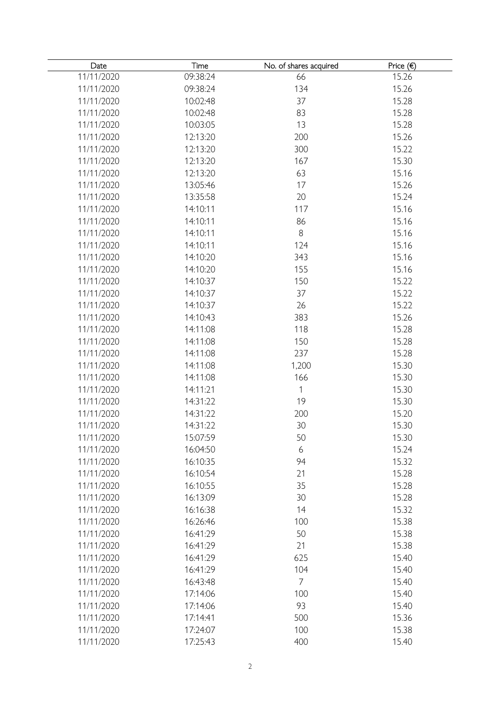| Date       | Time     | No. of shares acquired | Price $( \in )$ |
|------------|----------|------------------------|-----------------|
| 11/11/2020 | 09:38:24 | 66                     | 15.26           |
| 11/11/2020 | 09:38:24 | 134                    | 15.26           |
| 11/11/2020 | 10:02:48 | 37                     | 15.28           |
| 11/11/2020 | 10:02:48 | 83                     | 15.28           |
| 11/11/2020 | 10:03:05 | 13                     | 15.28           |
| 11/11/2020 | 12:13:20 | 200                    | 15.26           |
| 11/11/2020 | 12:13:20 | 300                    | 15.22           |
| 11/11/2020 | 12:13:20 | 167                    | 15.30           |
| 11/11/2020 | 12:13:20 | 63                     | 15.16           |
| 11/11/2020 | 13:05:46 | 17                     | 15.26           |
| 11/11/2020 | 13:35:58 | 20                     | 15.24           |
| 11/11/2020 | 14:10:11 | 117                    | 15.16           |
| 11/11/2020 | 14:10:11 | 86                     | 15.16           |
| 11/11/2020 | 14:10:11 | $\, 8$                 | 15.16           |
| 11/11/2020 | 14:10:11 | 124                    | 15.16           |
| 11/11/2020 | 14:10:20 | 343                    | 15.16           |
| 11/11/2020 | 14:10:20 | 155                    | 15.16           |
| 11/11/2020 | 14:10:37 | 150                    | 15.22           |
| 11/11/2020 | 14:10:37 | 37                     | 15.22           |
| 11/11/2020 | 14:10:37 | 26                     | 15.22           |
| 11/11/2020 | 14:10:43 | 383                    | 15.26           |
| 11/11/2020 | 14:11:08 | 118                    | 15.28           |
| 11/11/2020 | 14:11:08 | 150                    | 15.28           |
| 11/11/2020 | 14:11:08 | 237                    | 15.28           |
| 11/11/2020 | 14:11:08 | 1,200                  | 15.30           |
| 11/11/2020 | 14:11:08 | 166                    | 15.30           |
| 11/11/2020 | 14:11:21 | 1                      | 15.30           |
| 11/11/2020 | 14:31:22 | 19                     | 15.30           |
| 11/11/2020 | 14:31:22 | 200                    | 15.20           |
| 11/11/2020 | 14:31:22 | 30                     | 15.30           |
| 11/11/2020 | 15:07:59 | 50                     | 15.30           |
| 11/11/2020 | 16:04:50 | 6                      | 15.24           |
| 11/11/2020 | 16:10:35 | 94                     | 15.32           |
| 11/11/2020 | 16:10:54 | 21                     | 15.28           |
| 11/11/2020 | 16:10:55 | 35                     | 15.28           |
| 11/11/2020 | 16:13:09 | 30                     | 15.28           |
| 11/11/2020 | 16:16:38 | 14                     | 15.32           |
| 11/11/2020 | 16:26:46 | 100                    | 15.38           |
| 11/11/2020 | 16:41:29 | 50                     | 15.38           |
| 11/11/2020 | 16:41:29 | 21                     | 15.38           |
| 11/11/2020 | 16:41:29 | 625                    | 15.40           |
| 11/11/2020 | 16:41:29 | 104                    | 15.40           |
|            |          |                        |                 |
| 11/11/2020 | 16:43:48 | $\overline{7}$         | 15.40           |
| 11/11/2020 | 17:14:06 | 100                    | 15.40           |
| 11/11/2020 | 17:14:06 | 93                     | 15.40           |
| 11/11/2020 | 17:14:41 | 500                    | 15.36           |
| 11/11/2020 | 17:24:07 | 100                    | 15.38           |
| 11/11/2020 | 17:25:43 | 400                    | 15.40           |